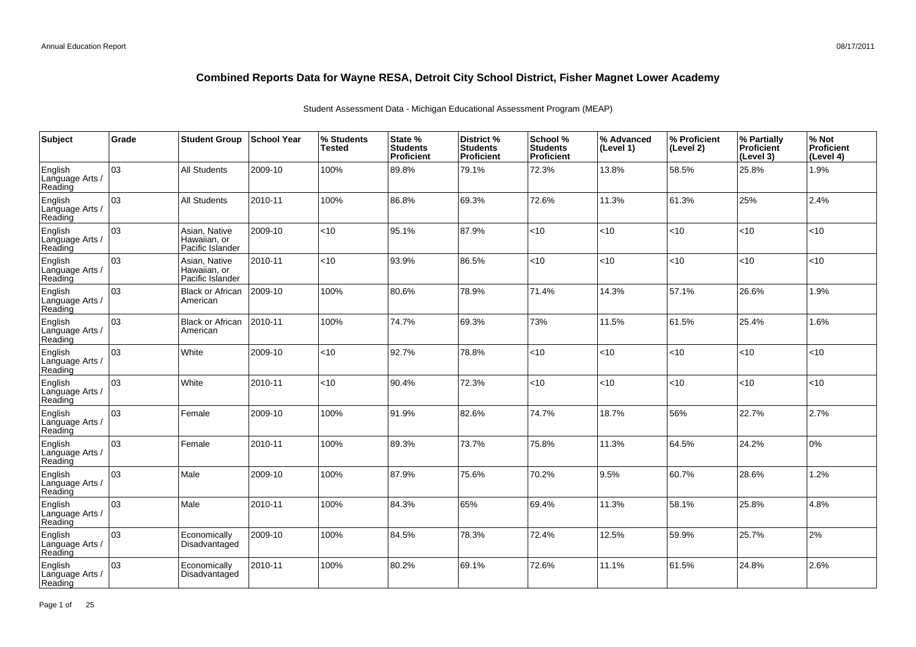| Subject                               | Grade | <b>Student Group</b>                              | School Year | % Students<br><b>Tested</b> | State %<br><b>Students</b><br>Proficient | District %<br><b>Students</b><br><b>Proficient</b> | School %<br><b>Students</b><br><b>Proficient</b> | % Advanced<br>(Level 1) | % Proficient<br>(Level 2) | % Partially<br>Proficient<br>(Level 3) | % Not<br>Proficient<br>(Level 4) |
|---------------------------------------|-------|---------------------------------------------------|-------------|-----------------------------|------------------------------------------|----------------------------------------------------|--------------------------------------------------|-------------------------|---------------------------|----------------------------------------|----------------------------------|
| English<br>Language Arts /<br>Reading | 03    | <b>All Students</b>                               | 2009-10     | 100%                        | 89.8%                                    | 79.1%                                              | 72.3%                                            | 13.8%                   | 58.5%                     | 25.8%                                  | 1.9%                             |
| English<br>Language Arts /<br>Reading | 03    | <b>All Students</b>                               | 2010-11     | 100%                        | 86.8%                                    | 69.3%                                              | 72.6%                                            | 11.3%                   | 61.3%                     | 25%                                    | 2.4%                             |
| English<br>Language Arts /<br>Reading | 03    | Asian, Native<br>Hawaiian, or<br>Pacific Islander | 2009-10     | $<$ 10                      | 95.1%                                    | 87.9%                                              | < 10                                             | <10                     | $<$ 10                    | < 10                                   | <10                              |
| English<br>Language Arts /<br>Reading | 03    | Asian, Native<br>Hawaiian, or<br>Pacific Islander | 2010-11     | <10                         | 93.9%                                    | 86.5%                                              | <10                                              | <10                     | $10^{-1}$                 | <10                                    | <10                              |
| English<br>Language Arts /<br>Reading | 03    | <b>Black or African</b><br>American               | 2009-10     | 100%                        | 80.6%                                    | 78.9%                                              | 71.4%                                            | 14.3%                   | 57.1%                     | 26.6%                                  | 1.9%                             |
| English<br>Language Arts<br>Reading   | 03    | <b>Black or African</b><br>American               | 2010-11     | 100%                        | 74.7%                                    | 69.3%                                              | 73%                                              | 11.5%                   | 61.5%                     | 25.4%                                  | 1.6%                             |
| English<br>Language Arts /<br>Reading | 03    | White                                             | 2009-10     | <10                         | 92.7%                                    | 78.8%                                              | < 10                                             | <10                     | $<$ 10                    | < 10                                   | <10                              |
| English<br>Language Arts<br>Reading   | 03    | White                                             | 2010-11     | <10                         | 90.4%                                    | 72.3%                                              | <10                                              | <10                     | $10^{-1}$                 | <10                                    | <10                              |
| English<br>Language Arts<br>Reading   | 03    | Female                                            | 2009-10     | 100%                        | 91.9%                                    | 82.6%                                              | 74.7%                                            | 18.7%                   | 56%                       | 22.7%                                  | 2.7%                             |
| English<br>Language Arts<br>Reading   | 03    | Female                                            | 2010-11     | 100%                        | 89.3%                                    | 73.7%                                              | 75.8%                                            | 11.3%                   | 64.5%                     | 24.2%                                  | 0%                               |
| English<br>Language Arts<br>Reading   | l 03  | Male                                              | 2009-10     | 100%                        | 87.9%                                    | 75.6%                                              | 70.2%                                            | 9.5%                    | 60.7%                     | 28.6%                                  | 1.2%                             |
| English<br>Language Arts<br>Reading   | 03    | Male                                              | 2010-11     | 100%                        | 84.3%                                    | 65%                                                | 69.4%                                            | 11.3%                   | 58.1%                     | 25.8%                                  | 4.8%                             |
| English<br>Language Arts<br>Reading   | 03    | Economically<br>Disadvantaged                     | 2009-10     | 100%                        | 84.5%                                    | 78.3%                                              | 72.4%                                            | 12.5%                   | 59.9%                     | 25.7%                                  | 2%                               |
| English<br>Language Arts<br>Reading   | 03    | Economically<br>Disadvantaged                     | 2010-11     | 100%                        | 80.2%                                    | 69.1%                                              | 72.6%                                            | 11.1%                   | 61.5%                     | 24.8%                                  | 2.6%                             |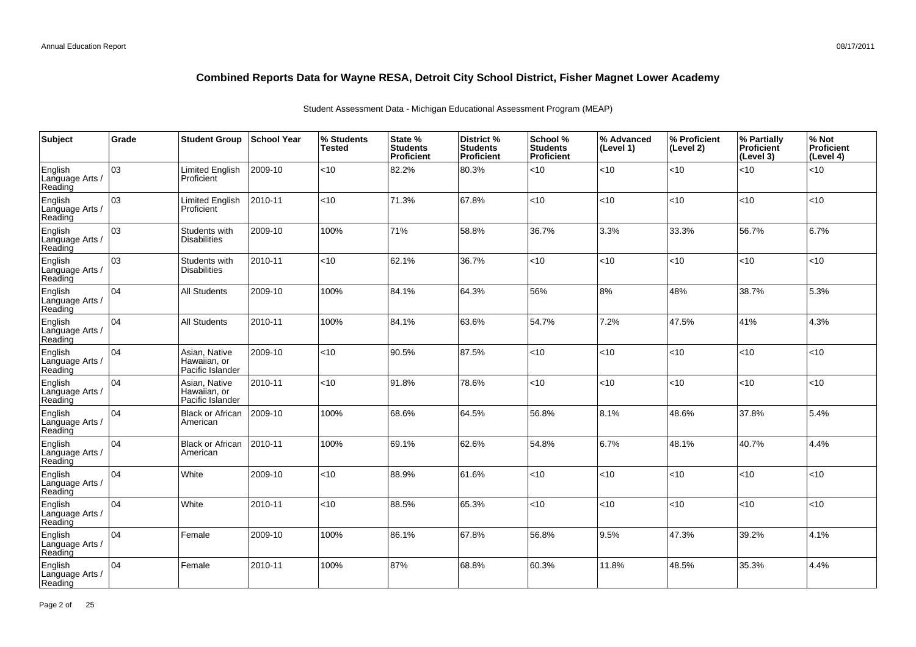| Subject                               | Grade | <b>Student Group</b>                              | <b>School Year</b> | % Students<br>Tested | State %<br><b>Students</b><br>Proficient | District %<br><b>Students</b><br><b>Proficient</b> | School %<br><b>Students</b><br><b>Proficient</b> | % Advanced<br>(Level 1) | ∣% Proficient<br>(Level 2) | % Partially<br>Proficient<br>(Level 3) | % Not<br>Proficient<br>(Level 4) |
|---------------------------------------|-------|---------------------------------------------------|--------------------|----------------------|------------------------------------------|----------------------------------------------------|--------------------------------------------------|-------------------------|----------------------------|----------------------------------------|----------------------------------|
| English<br>Language Arts /<br>Reading | 03    | <b>Limited English</b><br>Proficient              | 2009-10            | <10                  | 82.2%                                    | 80.3%                                              | <10                                              | < 10                    | < 10                       | < 10                                   | <10                              |
| English<br>Language Arts /<br>Reading | 03    | <b>Limited English</b><br>Proficient              | 2010-11            | <10                  | 71.3%                                    | 67.8%                                              | <10                                              | < 10                    | <10                        | <10                                    | <10                              |
| English<br>Language Arts /<br>Reading | 03    | Students with<br><b>Disabilities</b>              | 2009-10            | 100%                 | 71%                                      | 58.8%                                              | 36.7%                                            | 3.3%                    | 33.3%                      | 56.7%                                  | 6.7%                             |
| English<br>Language Arts /<br>Reading | lo3   | Students with<br><b>Disabilities</b>              | 2010-11            | <10                  | 62.1%                                    | 36.7%                                              | <10                                              | < 10                    | < 10                       | < 10                                   | <10                              |
| English<br>Language Arts /<br>Reading | 04    | <b>All Students</b>                               | 2009-10            | 100%                 | 84.1%                                    | 64.3%                                              | 56%                                              | 8%                      | 48%                        | 38.7%                                  | 5.3%                             |
| English<br>Language Arts /<br>Reading | 04    | <b>All Students</b>                               | 2010-11            | 100%                 | 84.1%                                    | 63.6%                                              | 54.7%                                            | 7.2%                    | 47.5%                      | 41%                                    | 4.3%                             |
| English<br>Language Arts /<br>Reading | 04    | Asian, Native<br>Hawaiian, or<br>Pacific Islander | 2009-10            | <10                  | 90.5%                                    | 87.5%                                              | <10                                              | < 10                    | < 10                       | <10                                    | <10                              |
| English<br>Language Arts /<br>Reading | 04    | Asian, Native<br>Hawaiian, or<br>Pacific Islander | 2010-11            | <10                  | 91.8%                                    | 78.6%                                              | <10                                              | <10                     | < 10                       | < 10                                   | <10                              |
| English<br>Language Arts /<br>Reading | 04    | <b>Black or African</b><br>American               | 2009-10            | 100%                 | 68.6%                                    | 64.5%                                              | 56.8%                                            | 18.1%                   | 48.6%                      | 37.8%                                  | 5.4%                             |
| English<br>Language Arts /<br>Reading | 04    | <b>Black or African</b><br>American               | 2010-11            | 100%                 | 69.1%                                    | 62.6%                                              | 54.8%                                            | 6.7%                    | 48.1%                      | 40.7%                                  | 4.4%                             |
| English<br>Language Arts /<br>Reading | 04    | White                                             | 2009-10            | <10                  | 88.9%                                    | 61.6%                                              | <10                                              | < 10                    | 10                         | 10                                     | <10                              |
| English<br>Language Arts<br>Reading   | 04    | White                                             | 2010-11            | <10                  | 88.5%                                    | 65.3%                                              | <10                                              | < 10                    | < 10                       | <10                                    | <10                              |
| English<br>Language Arts /<br>Reading | 04    | Female                                            | 2009-10            | 100%                 | 86.1%                                    | 67.8%                                              | 56.8%                                            | 9.5%                    | 47.3%                      | 39.2%                                  | 4.1%                             |
| English<br>Language Arts<br>Reading   | 04    | Female                                            | 2010-11            | 100%                 | 87%                                      | 68.8%                                              | 60.3%                                            | 11.8%                   | 48.5%                      | 35.3%                                  | 4.4%                             |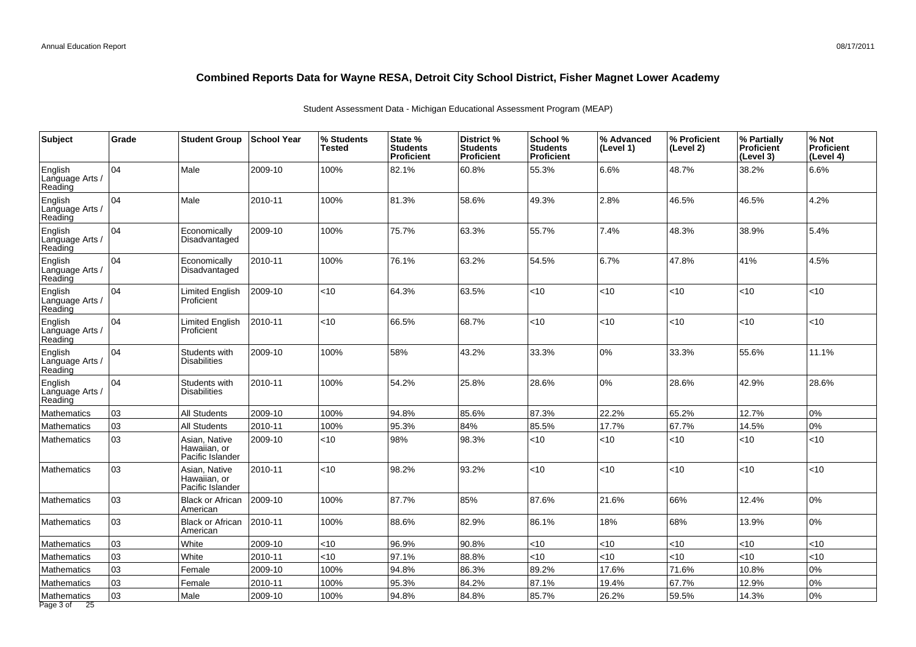| <b>Subject</b>                        | Grade | <b>Student Group</b>                              | <b>School Year</b> | % Students<br>Tested | State %<br><b>Students</b><br><b>Proficient</b> | District %<br><b>Students</b><br>Proficient | School %<br><b>Students</b><br><b>Proficient</b> | % Advanced<br>(Level 1) | % Proficient<br>(Level 2) | % Partially<br><b>Proficient</b><br>(Level 3) | % Not<br><b>Proficient</b><br>(Level 4) |
|---------------------------------------|-------|---------------------------------------------------|--------------------|----------------------|-------------------------------------------------|---------------------------------------------|--------------------------------------------------|-------------------------|---------------------------|-----------------------------------------------|-----------------------------------------|
| English<br>Language Arts /<br>Reading | 04    | Male                                              | 2009-10            | 100%                 | 82.1%                                           | 60.8%                                       | 55.3%                                            | 6.6%                    | 48.7%                     | 38.2%                                         | 6.6%                                    |
| English<br>Language Arts /<br>Reading | 04    | Male                                              | 2010-11            | 100%                 | 81.3%                                           | 58.6%                                       | 49.3%                                            | 2.8%                    | 46.5%                     | 46.5%                                         | 4.2%                                    |
| English<br>Language Arts /<br>Reading | 104   | Economically<br>Disadvantaged                     | 2009-10            | 100%                 | 75.7%                                           | 63.3%                                       | 55.7%                                            | 7.4%                    | 48.3%                     | 38.9%                                         | 5.4%                                    |
| English<br>Language Arts /<br>Reading | 04    | Economically<br>Disadvantaged                     | 2010-11            | 100%                 | 76.1%                                           | 63.2%                                       | 54.5%                                            | 6.7%                    | 47.8%                     | 41%                                           | 4.5%                                    |
| English<br>Language Arts /<br>Reading | 04    | Limited English<br>Proficient                     | 2009-10            | <10                  | 64.3%                                           | 63.5%                                       | $<$ 10                                           | <10                     | < 10                      | < 10                                          | <10                                     |
| English<br>Language Arts /<br>Reading | 04    | Limited English<br>Proficient                     | 2010-11            | <10                  | 66.5%                                           | 68.7%                                       | $<$ 10                                           | <10                     | <10                       | < 10                                          | <10                                     |
| English<br>Language Arts /<br>Reading | 04    | Students with<br><b>Disabilities</b>              | 2009-10            | 100%                 | 58%                                             | 43.2%                                       | 33.3%                                            | 0%                      | 33.3%                     | 55.6%                                         | 11.1%                                   |
| English<br>Language Arts /<br>Reading | 04    | Students with<br><b>Disabilities</b>              | 2010-11            | 100%                 | 54.2%                                           | 25.8%                                       | 28.6%                                            | $0\%$                   | 28.6%                     | 42.9%                                         | 28.6%                                   |
| <b>Mathematics</b>                    | 03    | <b>All Students</b>                               | 2009-10            | 100%                 | 94.8%                                           | 85.6%                                       | 87.3%                                            | 22.2%                   | 65.2%                     | 12.7%                                         | 0%                                      |
| <b>Mathematics</b>                    | 03    | All Students                                      | 2010-11            | 100%                 | 95.3%                                           | 84%                                         | 85.5%                                            | 17.7%                   | 67.7%                     | 14.5%                                         | 0%                                      |
| <b>Mathematics</b>                    | 03    | Asian, Native<br>Hawaiian, or<br>Pacific Islander | 2009-10            | <10                  | 98%                                             | 98.3%                                       | < 10                                             | <10                     | < 10                      | < 10                                          | <10                                     |
| Mathematics                           | 03    | Asian, Native<br>Hawaiian, or<br>Pacific Islander | 2010-11            | <10                  | 98.2%                                           | 93.2%                                       | $<$ 10                                           | <10                     | <10                       | < 10                                          | <10                                     |
| <b>Mathematics</b>                    | 03    | <b>Black or African</b><br>American               | 2009-10            | 100%                 | 87.7%                                           | 85%                                         | 87.6%                                            | 21.6%                   | 66%                       | 12.4%                                         | 0%                                      |
| Mathematics                           | 03    | <b>Black or African</b><br>American               | 2010-11            | 100%                 | 88.6%                                           | 82.9%                                       | 86.1%                                            | 18%                     | 68%                       | 13.9%                                         | 0%                                      |
| <b>Mathematics</b>                    | 03    | White                                             | 2009-10            | <10                  | 96.9%                                           | 90.8%                                       | <10                                              | <10                     | <10                       | ~10                                           | <10                                     |
| <b>Mathematics</b>                    | 03    | White                                             | 2010-11            | <10                  | 97.1%                                           | 88.8%                                       | <10                                              | <10                     | <10                       | < 10                                          | <10                                     |
| Mathematics                           | 03    | Female                                            | 2009-10            | 100%                 | 94.8%                                           | 86.3%                                       | 89.2%                                            | 17.6%                   | 71.6%                     | 10.8%                                         | 0%                                      |
| Mathematics                           | 03    | Female                                            | 2010-11            | 100%                 | 95.3%                                           | 84.2%                                       | 87.1%                                            | 19.4%                   | 67.7%                     | 12.9%                                         | 0%                                      |
| Mathematics<br>Page 3 of 25           | 03    | Male                                              | 2009-10            | 100%                 | 94.8%                                           | 84.8%                                       | 85.7%                                            | 26.2%                   | 59.5%                     | 14.3%                                         | 0%                                      |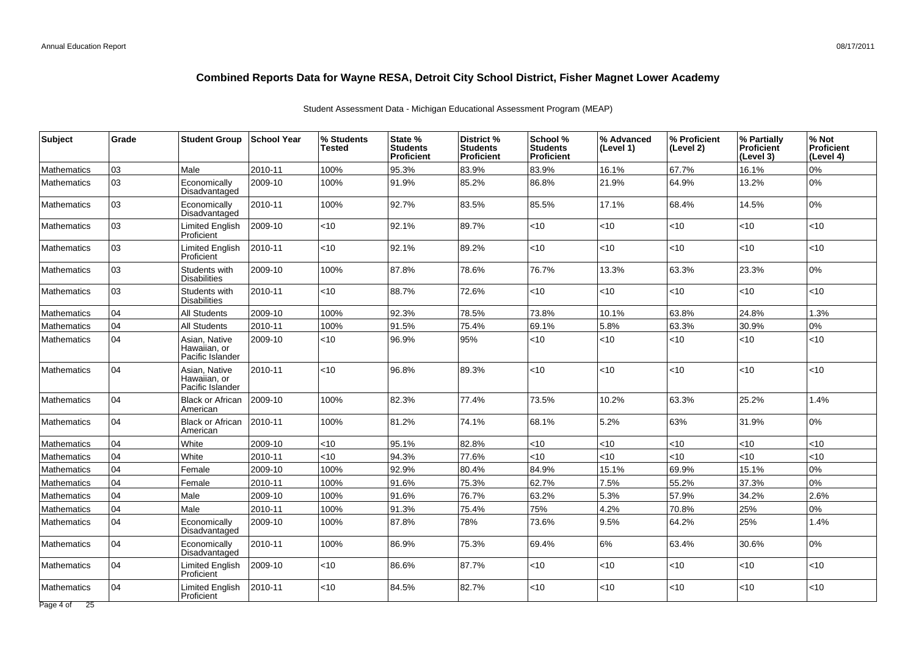| <b>Subject</b>     | Grade | <b>Student Group</b>                              | ∣School Year | % Students<br>Tested | State %<br><b>Students</b><br>Proficient | District %<br><b>Students</b><br><b>Proficient</b> | School %<br><b>Students</b><br><b>Proficient</b> | % Advanced<br>(Level 1) | % Proficient<br>(Level 2) | % Partially<br><b>Proficient</b><br>(Level 3) | % Not<br><b>Proficient</b><br>(Level 4) |
|--------------------|-------|---------------------------------------------------|--------------|----------------------|------------------------------------------|----------------------------------------------------|--------------------------------------------------|-------------------------|---------------------------|-----------------------------------------------|-----------------------------------------|
| <b>Mathematics</b> | 03    | Male                                              | 2010-11      | 100%                 | 95.3%                                    | 83.9%                                              | 83.9%                                            | 16.1%                   | 67.7%                     | 16.1%                                         | 0%                                      |
| <b>Mathematics</b> | 03    | Economically<br>Disadvantaged                     | 2009-10      | 100%                 | 91.9%                                    | 85.2%                                              | 86.8%                                            | 21.9%                   | 64.9%                     | 13.2%                                         | 0%                                      |
| <b>Mathematics</b> | 03    | Economically<br>Disadvantaged                     | 2010-11      | 100%                 | 92.7%                                    | 83.5%                                              | 85.5%                                            | 17.1%                   | 68.4%                     | 14.5%                                         | 0%                                      |
| <b>Mathematics</b> | 03    | Limited English<br>Proficient                     | 2009-10      | $<$ 10               | 92.1%                                    | 89.7%                                              | $<$ 10                                           | <10                     | $<$ 10                    | <10                                           | <10                                     |
| <b>Mathematics</b> | 03    | <b>Limited English</b><br>Proficient              | 2010-11      | <10                  | 92.1%                                    | 89.2%                                              | $<$ 10                                           | <10                     | $<$ 10                    | <10                                           | <10                                     |
| <b>Mathematics</b> | 03    | Students with<br><b>Disabilities</b>              | 2009-10      | 100%                 | 87.8%                                    | 78.6%                                              | 76.7%                                            | 13.3%                   | 63.3%                     | 23.3%                                         | 0%                                      |
| <b>Mathematics</b> | 03    | Students with<br><b>Disabilities</b>              | 2010-11      | <10                  | 88.7%                                    | 72.6%                                              | $<$ 10                                           | $<$ 10                  | $<$ 10                    | < 10                                          | <10                                     |
| <b>Mathematics</b> | 04    | <b>All Students</b>                               | 2009-10      | 100%                 | 92.3%                                    | 78.5%                                              | 73.8%                                            | 10.1%                   | 63.8%                     | 24.8%                                         | 1.3%                                    |
| <b>Mathematics</b> | 04    | <b>All Students</b>                               | 2010-11      | 100%                 | 91.5%                                    | 75.4%                                              | 69.1%                                            | 5.8%                    | 63.3%                     | 30.9%                                         | 0%                                      |
| <b>Mathematics</b> | 04    | Asian, Native<br>Hawaiian, or<br>Pacific Islander | 2009-10      | <10                  | 96.9%                                    | 95%                                                | < 10                                             | < 10                    | <10                       | < 10                                          | <10                                     |
| <b>Mathematics</b> | 04    | Asian, Native<br>Hawaiian, or<br>Pacific Islander | 2010-11      | <10                  | 96.8%                                    | 89.3%                                              | < 10                                             | <10                     | <10                       | < 10                                          | $<$ 10                                  |
| <b>Mathematics</b> | 04    | <b>Black or African</b><br>American               | $ 2009-10$   | 100%                 | 82.3%                                    | 77.4%                                              | 73.5%                                            | 10.2%                   | 63.3%                     | 25.2%                                         | 1.4%                                    |
| <b>Mathematics</b> | 04    | <b>Black or African</b><br>American               | 2010-11      | 100%                 | 81.2%                                    | 74.1%                                              | 68.1%                                            | 5.2%                    | 63%                       | 31.9%                                         | 0%                                      |
| <b>Mathematics</b> | 04    | White                                             | 2009-10      | <10                  | 95.1%                                    | 82.8%                                              | $<$ 10                                           | <10                     | <10                       | <10                                           | <10                                     |
| <b>Mathematics</b> | 04    | White                                             | 2010-11      | <10                  | 94.3%                                    | 77.6%                                              | <10                                              | <10                     | $<10$                     | <10                                           | <10                                     |
| <b>Mathematics</b> | 04    | Female                                            | 2009-10      | 100%                 | 92.9%                                    | 80.4%                                              | 84.9%                                            | 15.1%                   | 69.9%                     | 15.1%                                         | 0%                                      |
| <b>Mathematics</b> | 04    | Female                                            | 2010-11      | 100%                 | 91.6%                                    | 75.3%                                              | 62.7%                                            | 7.5%                    | 55.2%                     | 37.3%                                         | 0%                                      |
| Mathematics        | 04    | Male                                              | 2009-10      | 100%                 | 91.6%                                    | 76.7%                                              | 63.2%                                            | 5.3%                    | 57.9%                     | 34.2%                                         | 2.6%                                    |
| <b>Mathematics</b> | 04    | Male                                              | 2010-11      | 100%                 | 91.3%                                    | 75.4%                                              | 75%                                              | 4.2%                    | 70.8%                     | 25%                                           | 0%                                      |
| <b>Mathematics</b> | 04    | Economically<br>Disadvantaged                     | 2009-10      | 100%                 | 87.8%                                    | 78%                                                | 73.6%                                            | 9.5%                    | 64.2%                     | 25%                                           | 1.4%                                    |
| <b>Mathematics</b> | 04    | Economically<br>Disadvantaged                     | 2010-11      | 100%                 | 86.9%                                    | 75.3%                                              | 69.4%                                            | 6%                      | 63.4%                     | 30.6%                                         | 0%                                      |
| <b>Mathematics</b> | 04    | <b>Limited English</b><br>Proficient              | 2009-10      | <10                  | 86.6%                                    | 87.7%                                              | $<$ 10                                           | <10                     | $<$ 10                    | <10                                           | $<$ 10                                  |
| <b>Mathematics</b> | 04    | <b>Limited English</b><br>Proficient              | 2010-11      | <10                  | 84.5%                                    | 82.7%                                              | $<$ 10                                           | $<$ 10                  | $<$ 10                    | ~10                                           | < 10                                    |
| Page 4 of 25       |       |                                                   |              |                      |                                          |                                                    |                                                  |                         |                           |                                               |                                         |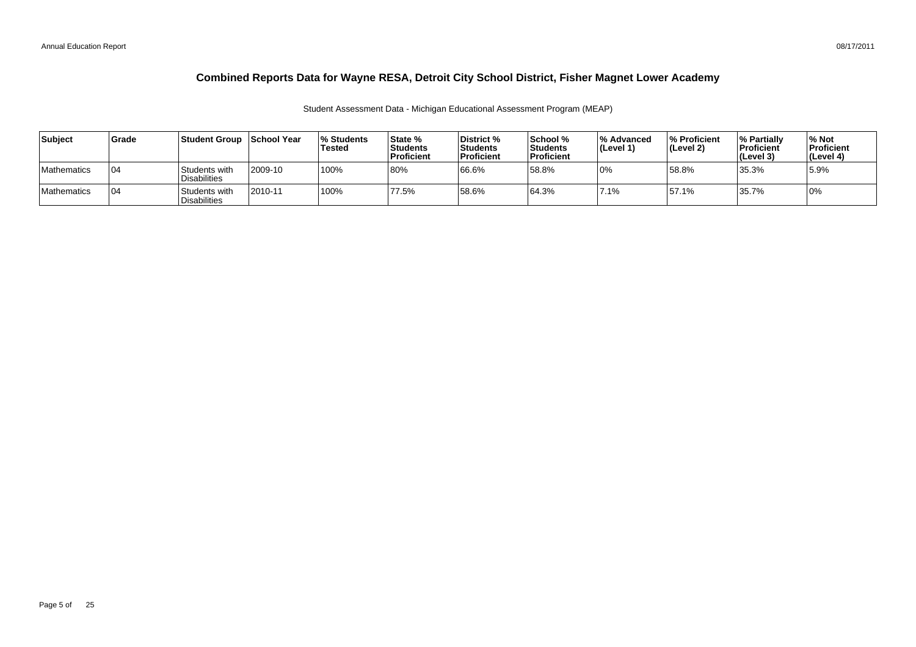| Subiect            | <b>Grade</b> | Student Group_                       | School Year | <b>Students</b><br>Tested | State %<br>Students<br><b>Proficient</b> | District %<br><b>Students</b><br><b>Proficient</b> | <b>School</b> %<br>∣Students<br>Proficient | <b>M</b> Advanced<br>$ $ (Level 1) | % Proficient<br>(Level 2) | <b>1% Partially</b><br><b>Proficient</b><br>(Level 3) | <b>M</b> Not<br><b>Proficient</b><br>(Level 4) |
|--------------------|--------------|--------------------------------------|-------------|---------------------------|------------------------------------------|----------------------------------------------------|--------------------------------------------|------------------------------------|---------------------------|-------------------------------------------------------|------------------------------------------------|
| <b>Mathematics</b> | 04           | Students with<br><b>Disabilities</b> | 2009-10     | 100%                      | 80%                                      | 66.6%                                              | 58.8%                                      | 0%                                 | 58.8%                     | 35.3%                                                 | 5.9%                                           |
| <b>Mathematics</b> | 04           | Students with<br><b>Disabilities</b> | 2010-11     | 100%                      | 77.5%                                    | 58.6%                                              | 64.3%                                      | $7.1\%$                            | 57.1%                     | 35.7%                                                 | 0%                                             |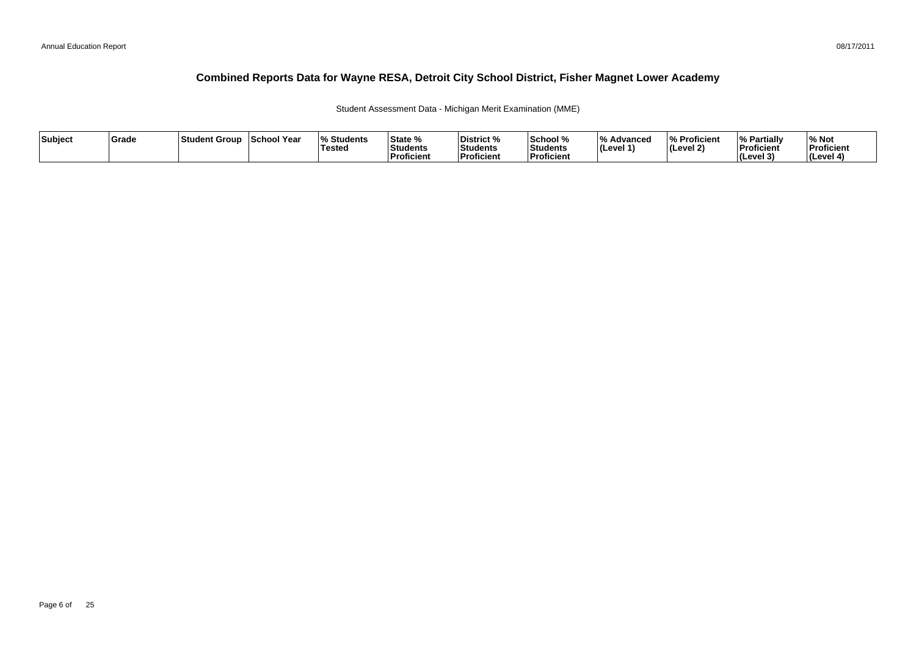Student Assessment Data - Michigan Merit Examination (MME)

| Subject | Grade | Student Group | School Year | <b>Students</b><br>Tested | State %<br>Students<br>Proficient | District %<br>Students<br><b>Proficient</b> | School %<br>Students<br>Proficient | $\overline{0}$<br>Advancec<br>$ $ (Level 1) | % Proficient<br> (Level 2) | % Partially<br>Proficient<br><b>I</b> Cevel 3<br>. . | ∕∘ Not<br>Proficient<br>(Level 4) |
|---------|-------|---------------|-------------|---------------------------|-----------------------------------|---------------------------------------------|------------------------------------|---------------------------------------------|----------------------------|------------------------------------------------------|-----------------------------------|
|---------|-------|---------------|-------------|---------------------------|-----------------------------------|---------------------------------------------|------------------------------------|---------------------------------------------|----------------------------|------------------------------------------------------|-----------------------------------|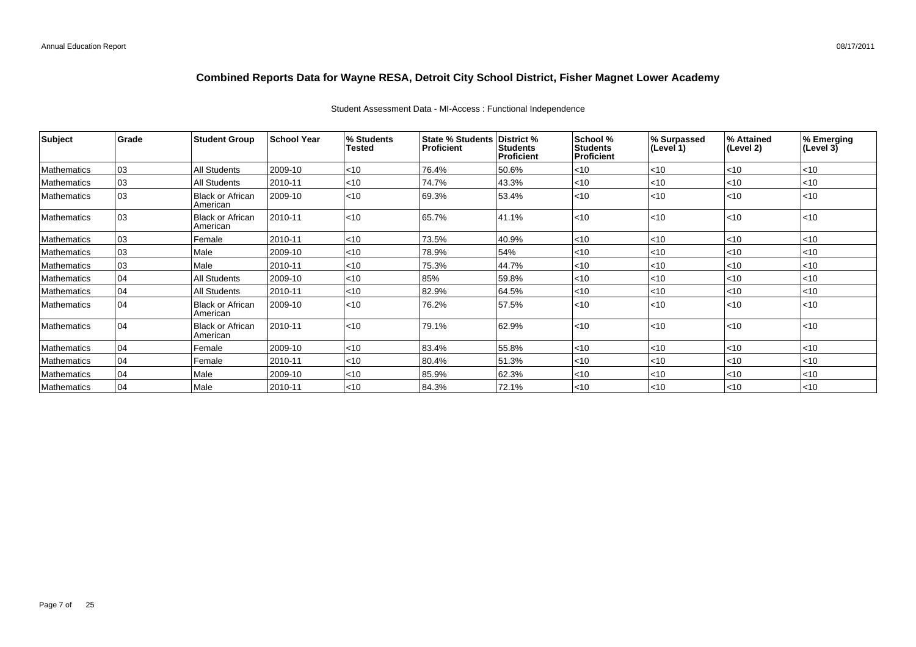| Subject            | Grade | <b>Student Group</b>                | <b>School Year</b> | % Students<br><b>Tested</b> | State % Students District %<br><b>Proficient</b> | Students<br><b>Proficient</b> | School %<br><b>Students</b><br>Proficient | % Surpassed<br>(Level 1) | % Attained<br>(Level 2) | % Emerging<br>(Level 3) |
|--------------------|-------|-------------------------------------|--------------------|-----------------------------|--------------------------------------------------|-------------------------------|-------------------------------------------|--------------------------|-------------------------|-------------------------|
| Mathematics        | 03    | <b>All Students</b>                 | 2009-10            | < 10                        | 76.4%                                            | 50.6%                         | $<$ 10                                    | $<$ 10                   | < 10                    | $<$ 10                  |
| Mathematics        | 03    | <b>All Students</b>                 | 2010-11            | $<$ 10                      | 74.7%                                            | 43.3%                         | < 10                                      | $<$ 10                   | < 10                    | $<$ 10                  |
| <b>Mathematics</b> | 03    | <b>Black or African</b><br>American | 2009-10            | < 10                        | 69.3%                                            | 53.4%                         | < 10                                      | $ $ < 10                 | < 10                    | < 10                    |
| <b>Mathematics</b> | 03    | <b>Black or African</b><br>American | 2010-11            | < 10                        | 65.7%                                            | 41.1%                         | $10$                                      | $ $ < 10                 | $ $ < 10                | $<$ 10                  |
| Mathematics        | 03    | Female                              | 2010-11            | < 10                        | 73.5%                                            | 40.9%                         | < 10                                      | $ $ < 10                 | $ $ < 10                | $<$ 10                  |
| <b>Mathematics</b> | 03    | Male                                | 2009-10            | $ $ < 10                    | 78.9%                                            | 54%                           | < 10                                      | $<$ 10                   | $ $ < 10                | $<$ 10                  |
| Mathematics        | 03    | Male                                | 2010-11            | < 10                        | 75.3%                                            | 44.7%                         | < 10                                      | $<$ 10                   | < 10                    | $<$ 10                  |
| Mathematics        | 04    | <b>All Students</b>                 | 2009-10            | $<$ 10                      | 85%                                              | 59.8%                         | < 10                                      | < 10                     | <10                     | < 10                    |
| <b>Mathematics</b> | 04    | <b>All Students</b>                 | 2010-11            | < 10                        | 82.9%                                            | 64.5%                         | < 10                                      | $<$ 10                   | $<$ 10                  | $<$ 10                  |
| <b>Mathematics</b> | 04    | Black or African<br>American        | 2009-10            | < 10                        | 76.2%                                            | 57.5%                         | < 10                                      | < 10                     | $ $ < 10                | $<$ 10                  |
| Mathematics        | 04    | <b>Black or African</b><br>American | 2010-11            | < 10                        | 79.1%                                            | 62.9%                         | < 10                                      | < 10                     | $ $ < 10                | $<$ 10                  |
| Mathematics        | 04    | Female                              | 2009-10            | < 10                        | 83.4%                                            | 55.8%                         | < 10                                      | $<$ 10                   | $ $ < 10                | $<$ 10                  |
| Mathematics        | 04    | Female                              | 2010-11            | $<$ 10                      | 80.4%                                            | 51.3%                         | < 10                                      | < 10                     | $ $ < 10                | < 10                    |
| Mathematics        | 04    | Male                                | 2009-10            | $<$ 10                      | 85.9%                                            | 62.3%                         | < 10                                      | $<$ 10                   | $<$ 10                  | $<$ 10                  |
| Mathematics        | 04    | Male                                | 2010-11            | < 10                        | 84.3%                                            | 72.1%                         | < 10                                      | $ $ < 10                 | $ $ < 10                | < 10                    |

### Student Assessment Data - MI-Access : Functional Independence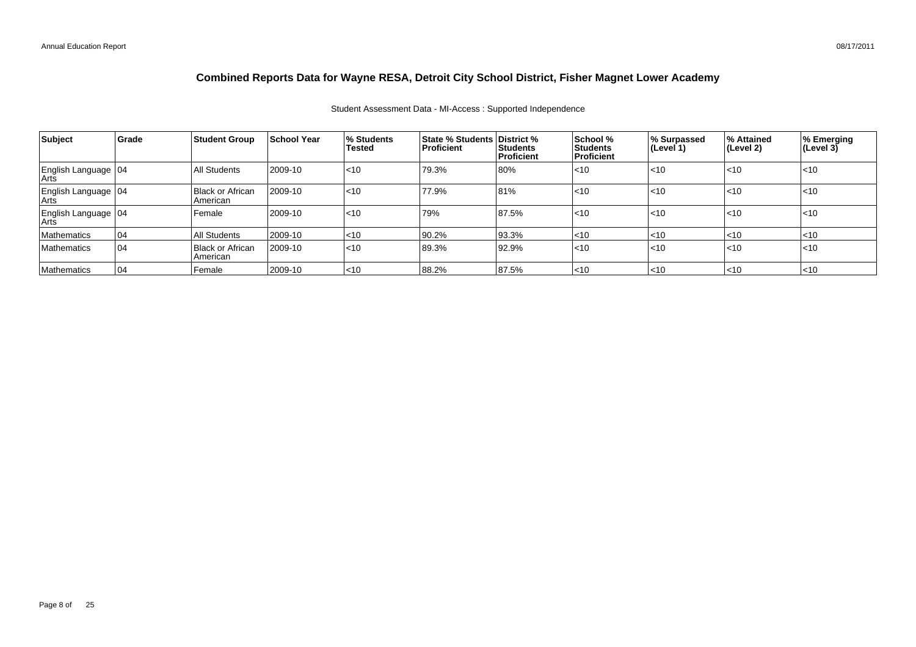### Student Assessment Data - MI-Access : Supported Independence

| Subject                         | Grade | <b>Student Group</b>           | <b>School Year</b> | <b>% Students</b><br><b>Tested</b> | <b>State % Students District %</b><br>Proficient | Students<br>Proficient | School %<br>l Students<br>l Proficient | % Surpassed<br>∣(Level 1) | ∣% Attained<br>∣(Level 2) | % Emerging<br>(Level 3) |
|---------------------------------|-------|--------------------------------|--------------------|------------------------------------|--------------------------------------------------|------------------------|----------------------------------------|---------------------------|---------------------------|-------------------------|
| English Language 04             |       | All Students                   | 2009-10            | $ $ < 10                           | 79.3%                                            | 80%                    | $ $ <10                                | $ $ < 10                  | $ $ < 10                  | $ $ < 10                |
| English Language   04<br>  Arts |       | Black or African<br>  American | 2009-10            | $ $ < 10                           | 77.9%                                            | 81%                    | l<10                                   | $ $ < 10                  | $ $ < 10                  | $ $ <10                 |
| English Language 04             |       | Female                         | 2009-10            | $ $ < 10                           | 79%                                              | 87.5%                  | l<10                                   | $ $ < 10                  | $ $ < 10                  | $ $ < 10                |
| Mathematics                     | 04    | All Students                   | 2009-10            | ~10                                | 90.2%                                            | 93.3%                  | $ $ <10                                | $ $ < 10                  | $ $ < 10                  | $ $ <10                 |
| Mathematics                     | 04    | Black or African<br>  American | 2009-10            | $ $ < 10                           | 89.3%                                            | 92.9%                  | l<10                                   | $ $ < 10                  | $ $ < 10                  | $ $ < 10                |
| Mathematics                     | 04    | Female                         | 2009-10            | $ $ <10                            | 88.2%                                            | 87.5%                  | $ $ < 10                               | $ $ < 10                  | $ $ < 10                  | $\leq 10$               |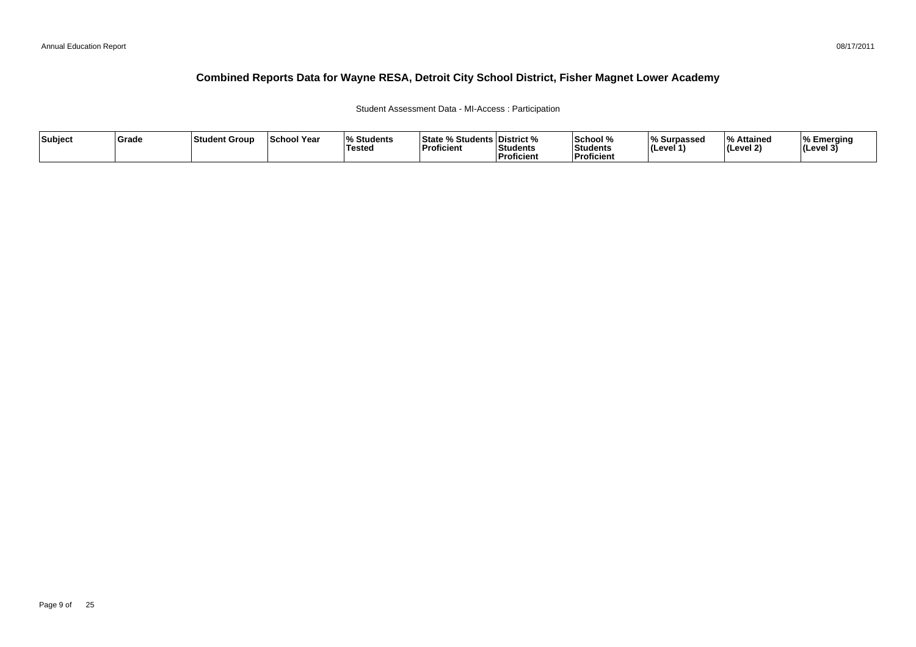### Student Assessment Data - MI-Access : Participation

| Subject | Grade | ∣Student Group | <b>School Year</b> | 07.<br>Students<br>Tested | <sup>৹⁄</sup> Students ∟<br><b>State</b><br>'Proficient | <b>District</b> %<br>Students<br><sup>'</sup> Proficient | School %<br>Students<br>--<br>Proficient | ∧ Surpassed<br>⊺(Level ′ | ہ Attained<br>Level 2) | % Emerging<br>$ $ (Level 3) |
|---------|-------|----------------|--------------------|---------------------------|---------------------------------------------------------|----------------------------------------------------------|------------------------------------------|--------------------------|------------------------|-----------------------------|
|---------|-------|----------------|--------------------|---------------------------|---------------------------------------------------------|----------------------------------------------------------|------------------------------------------|--------------------------|------------------------|-----------------------------|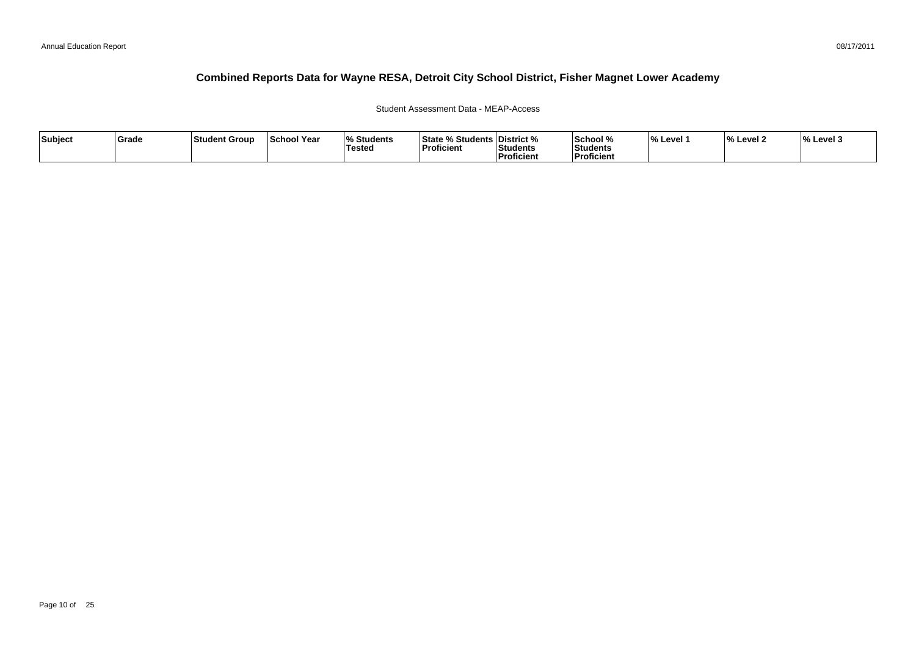Student Assessment Data - MEAP-Access

| Subject | Grade | <b>Student Group</b> | School Year | Students<br>Tested | State % Stu<br>⁄。Students <sup>।</sup><br><b>Proficient</b> | <b>District</b> %<br>Students<br><b>Proficient</b> | 'School %<br>Students<br>Proficient | ∣% Level∶ | Level 2 | $\frac{1}{6}$ Level 3 |
|---------|-------|----------------------|-------------|--------------------|-------------------------------------------------------------|----------------------------------------------------|-------------------------------------|-----------|---------|-----------------------|
|---------|-------|----------------------|-------------|--------------------|-------------------------------------------------------------|----------------------------------------------------|-------------------------------------|-----------|---------|-----------------------|

08/17/2011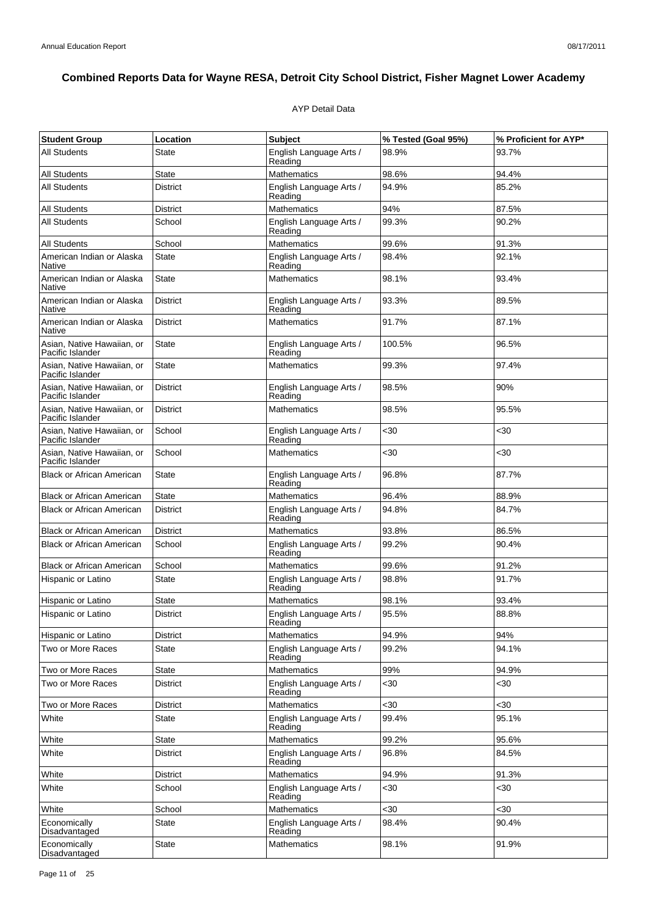### AYP Detail Data

| <b>Student Group</b>                           | Location        | <b>Subject</b>                     | % Tested (Goal 95%) | % Proficient for AYP* |
|------------------------------------------------|-----------------|------------------------------------|---------------------|-----------------------|
| <b>All Students</b>                            | <b>State</b>    | English Language Arts /<br>Reading | 98.9%               | 93.7%                 |
| <b>All Students</b>                            | State           | <b>Mathematics</b>                 | 98.6%               | 94.4%                 |
| <b>All Students</b>                            | <b>District</b> | English Language Arts /<br>Reading | 94.9%               | 85.2%                 |
| <b>All Students</b>                            | District        | <b>Mathematics</b>                 | 94%                 | 87.5%                 |
| <b>All Students</b>                            | School          | English Language Arts /<br>Reading | 99.3%               | 90.2%                 |
| <b>All Students</b>                            | School          | Mathematics                        | 99.6%               | 91.3%                 |
| American Indian or Alaska<br>Native            | State           | English Language Arts /<br>Reading | 98.4%               | 92.1%                 |
| American Indian or Alaska<br>Native            | <b>State</b>    | <b>Mathematics</b>                 | 98.1%               | 93.4%                 |
| American Indian or Alaska<br>Native            | <b>District</b> | English Language Arts /<br>Reading | 93.3%               | 89.5%                 |
| American Indian or Alaska<br>Native            | <b>District</b> | Mathematics                        | 91.7%               | 87.1%                 |
| Asian, Native Hawaiian, or<br>Pacific Islander | <b>State</b>    | English Language Arts /<br>Reading | 100.5%              | 96.5%                 |
| Asian, Native Hawaiian, or<br>Pacific Islander | <b>State</b>    | <b>Mathematics</b>                 | 99.3%               | 97.4%                 |
| Asian, Native Hawaiian, or<br>Pacific Islander | <b>District</b> | English Language Arts /<br>Reading | 98.5%               | 90%                   |
| Asian, Native Hawaiian, or<br>Pacific Islander | <b>District</b> | <b>Mathematics</b>                 | 98.5%               | 95.5%                 |
| Asian, Native Hawaiian, or<br>Pacific Islander | School          | English Language Arts /<br>Reading | <30                 | $30$                  |
| Asian, Native Hawaiian, or<br>Pacific Islander | School          | Mathematics                        | $30$                | <30                   |
| <b>Black or African American</b>               | <b>State</b>    | English Language Arts /<br>Reading | 96.8%               | 87.7%                 |
| <b>Black or African American</b>               | <b>State</b>    | <b>Mathematics</b>                 | 96.4%               | 88.9%                 |
| <b>Black or African American</b>               | <b>District</b> | English Language Arts /<br>Reading | 94.8%               | 84.7%                 |
| <b>Black or African American</b>               | <b>District</b> | <b>Mathematics</b>                 | 93.8%               | 86.5%                 |
| <b>Black or African American</b>               | School          | English Language Arts /<br>Reading | 99.2%               | 90.4%                 |
| <b>Black or African American</b>               | School          | <b>Mathematics</b>                 | 99.6%               | 91.2%                 |
| Hispanic or Latino                             | <b>State</b>    | English Language Arts /<br>Reading | 98.8%               | 91.7%                 |
| Hispanic or Latino                             | State           | <b>Mathematics</b>                 | 98.1%               | 93.4%                 |
| Hispanic or Latino                             | <b>District</b> | English Language Arts /<br>Reading | 95.5%               | 88.8%                 |
| Hispanic or Latino                             | District        | <b>Mathematics</b>                 | 94.9%               | 94%                   |
| Two or More Races                              | <b>State</b>    | English Language Arts /<br>Reading | 99.2%               | 94.1%                 |
| Two or More Races                              | <b>State</b>    | <b>Mathematics</b>                 | 99%                 | 94.9%                 |
| Two or More Races                              | District        | English Language Arts /<br>Reading | <30                 | $30$                  |
| Two or More Races                              | <b>District</b> | Mathematics                        | $30$                | <30                   |
| White                                          | State           | English Language Arts /<br>Reading | 99.4%               | 95.1%                 |
| White                                          | State           | <b>Mathematics</b>                 | 99.2%               | 95.6%                 |
| White                                          | District        | English Language Arts /<br>Reading | 96.8%               | 84.5%                 |
| White                                          | District        | <b>Mathematics</b>                 | 94.9%               | 91.3%                 |
| White                                          | School          | English Language Arts /<br>Reading | $30$                | <30                   |
| White                                          | School          | <b>Mathematics</b>                 | $30$                | <30                   |
| Economically<br>Disadvantaged                  | State           | English Language Arts /<br>Reading | 98.4%               | 90.4%                 |
| Economically<br>Disadvantaged                  | <b>State</b>    | <b>Mathematics</b>                 | 98.1%               | 91.9%                 |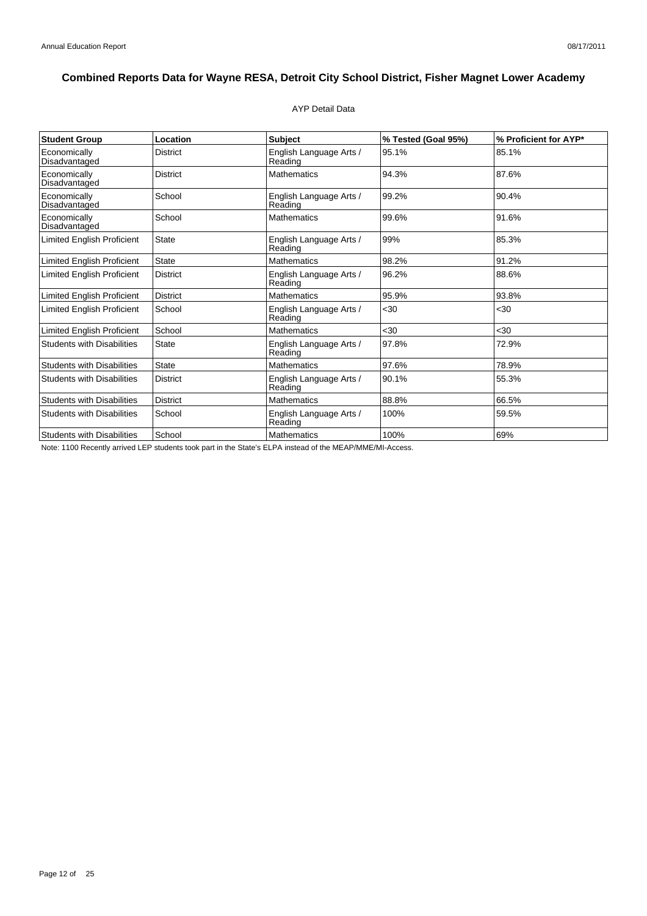### AYP Detail Data

| <b>Student Group</b>              | Location        | Subject                            | % Tested (Goal 95%) | % Proficient for AYP* |
|-----------------------------------|-----------------|------------------------------------|---------------------|-----------------------|
| Economically<br>Disadvantaged     | <b>District</b> | English Language Arts /<br>Reading | 95.1%               | 85.1%                 |
| Economically<br>Disadvantaged     | <b>District</b> | <b>Mathematics</b>                 | 94.3%               | 87.6%                 |
| Economically<br>Disadvantaged     | School          | English Language Arts /<br>Reading | 99.2%               | 90.4%                 |
| Economically<br>Disadvantaged     | School          | <b>Mathematics</b>                 | 99.6%               | 91.6%                 |
| <b>Limited English Proficient</b> | <b>State</b>    | English Language Arts /<br>Reading | 99%                 | 85.3%                 |
| <b>Limited English Proficient</b> | <b>State</b>    | <b>Mathematics</b>                 | 98.2%               | 91.2%                 |
| <b>Limited English Proficient</b> | <b>District</b> | English Language Arts /<br>Reading | 96.2%               | 88.6%                 |
| <b>Limited English Proficient</b> | <b>District</b> | <b>Mathematics</b>                 | 95.9%               | 93.8%                 |
| <b>Limited English Proficient</b> | School          | English Language Arts /<br>Reading | $30$                | $30$                  |
| Limited English Proficient        | School          | <b>Mathematics</b>                 | <30                 | <30                   |
| <b>Students with Disabilities</b> | State           | English Language Arts /<br>Reading | 97.8%               | 72.9%                 |
| <b>Students with Disabilities</b> | <b>State</b>    | <b>Mathematics</b>                 | 97.6%               | 78.9%                 |
| <b>Students with Disabilities</b> | <b>District</b> | English Language Arts /<br>Reading | 90.1%               | 55.3%                 |
| <b>Students with Disabilities</b> | District        | <b>Mathematics</b>                 | 88.8%               | 66.5%                 |
| <b>Students with Disabilities</b> | School          | English Language Arts /<br>Reading | 100%                | 59.5%                 |
| <b>Students with Disabilities</b> | School          | <b>Mathematics</b>                 | 100%                | 69%                   |

Note: 1100 Recently arrived LEP students took part in the State's ELPA instead of the MEAP/MME/MI-Access.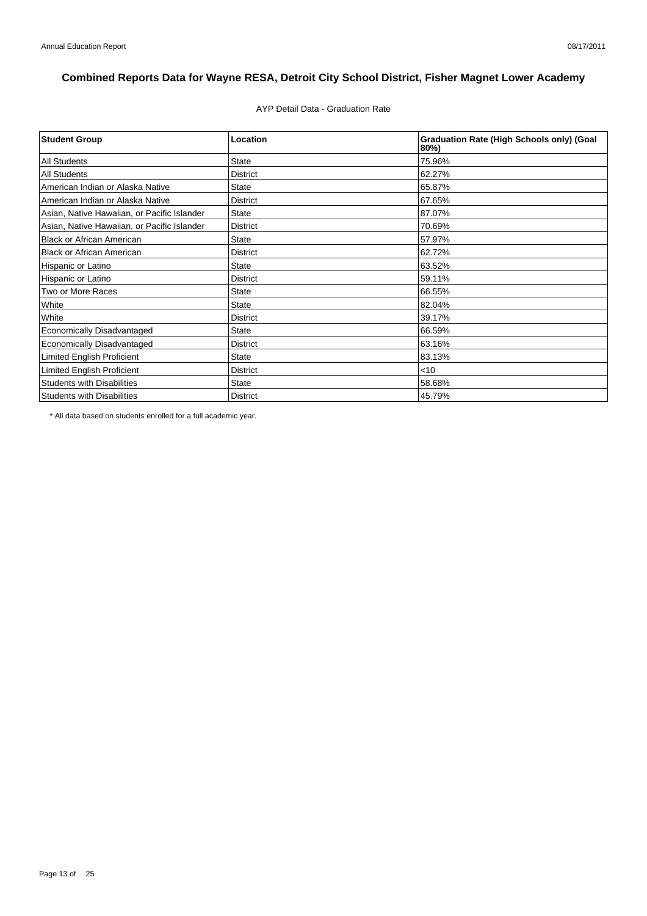AYP Detail Data - Graduation Rate

| <b>Student Group</b>                        | Location        | <b>Graduation Rate (High Schools only) (Goal</b><br>80%) |
|---------------------------------------------|-----------------|----------------------------------------------------------|
| <b>All Students</b>                         | <b>State</b>    | 75.96%                                                   |
| <b>All Students</b>                         | <b>District</b> | 62.27%                                                   |
| American Indian or Alaska Native            | <b>State</b>    | 65.87%                                                   |
| American Indian or Alaska Native            | <b>District</b> | 67.65%                                                   |
| Asian, Native Hawaiian, or Pacific Islander | <b>State</b>    | 87.07%                                                   |
| Asian, Native Hawaiian, or Pacific Islander | <b>District</b> | 70.69%                                                   |
| <b>Black or African American</b>            | <b>State</b>    | 57.97%                                                   |
| <b>Black or African American</b>            | <b>District</b> | 62.72%                                                   |
| Hispanic or Latino                          | <b>State</b>    | 63.52%                                                   |
| Hispanic or Latino                          | <b>District</b> | 59.11%                                                   |
| Two or More Races                           | <b>State</b>    | 66.55%                                                   |
| White                                       | <b>State</b>    | 82.04%                                                   |
| White                                       | <b>District</b> | 39.17%                                                   |
| Economically Disadvantaged                  | <b>State</b>    | 66.59%                                                   |
| Economically Disadvantaged                  | <b>District</b> | 63.16%                                                   |
| <b>Limited English Proficient</b>           | <b>State</b>    | 83.13%                                                   |
| Limited English Proficient                  | <b>District</b> | $<$ 10                                                   |
| <b>Students with Disabilities</b>           | <b>State</b>    | 58.68%                                                   |
| <b>Students with Disabilities</b>           | <b>District</b> | 45.79%                                                   |

\* All data based on students enrolled for a full academic year.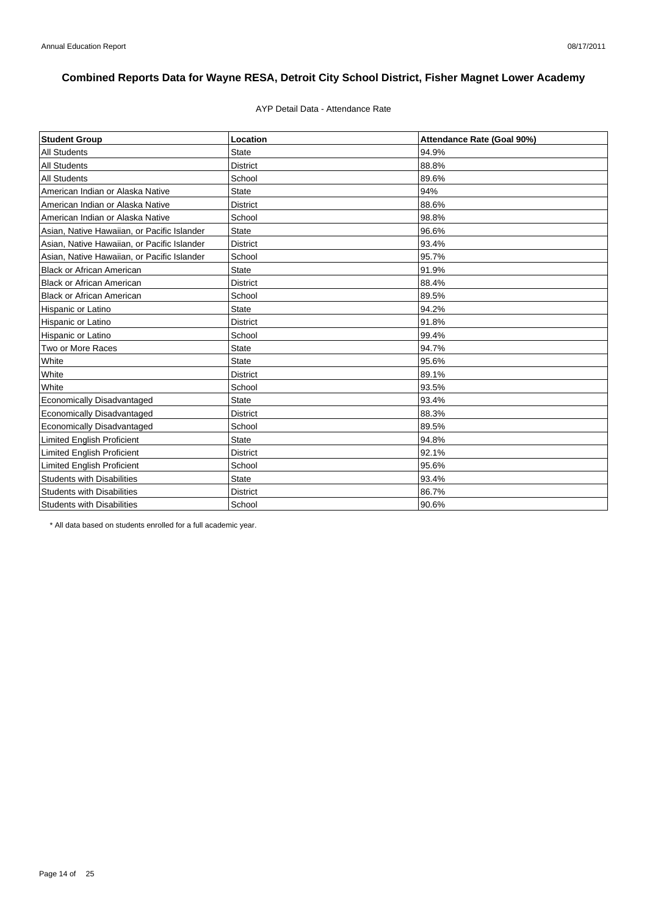### AYP Detail Data - Attendance Rate

| <b>Student Group</b>                        | Location        | Attendance Rate (Goal 90%) |
|---------------------------------------------|-----------------|----------------------------|
| <b>All Students</b>                         | <b>State</b>    | 94.9%                      |
| <b>All Students</b>                         | <b>District</b> | 88.8%                      |
| <b>All Students</b>                         | School          | 89.6%                      |
| American Indian or Alaska Native            | <b>State</b>    | 94%                        |
| American Indian or Alaska Native            | <b>District</b> | 88.6%                      |
| American Indian or Alaska Native            | School          | 98.8%                      |
| Asian, Native Hawaiian, or Pacific Islander | <b>State</b>    | 96.6%                      |
| Asian, Native Hawaiian, or Pacific Islander | <b>District</b> | 93.4%                      |
| Asian, Native Hawaiian, or Pacific Islander | School          | 95.7%                      |
| <b>Black or African American</b>            | <b>State</b>    | 91.9%                      |
| <b>Black or African American</b>            | <b>District</b> | 88.4%                      |
| <b>Black or African American</b>            | School          | 89.5%                      |
| Hispanic or Latino                          | <b>State</b>    | 94.2%                      |
| Hispanic or Latino                          | <b>District</b> | 91.8%                      |
| Hispanic or Latino                          | School          | 99.4%                      |
| Two or More Races                           | <b>State</b>    | 94.7%                      |
| White                                       | State           | 95.6%                      |
| White                                       | <b>District</b> | 89.1%                      |
| White                                       | School          | 93.5%                      |
| Economically Disadvantaged                  | <b>State</b>    | 93.4%                      |
| <b>Economically Disadvantaged</b>           | <b>District</b> | 88.3%                      |
| <b>Economically Disadvantaged</b>           | School          | 89.5%                      |
| <b>Limited English Proficient</b>           | <b>State</b>    | 94.8%                      |
| <b>Limited English Proficient</b>           | <b>District</b> | 92.1%                      |
| <b>Limited English Proficient</b>           | School          | 95.6%                      |
| <b>Students with Disabilities</b>           | <b>State</b>    | 93.4%                      |
| <b>Students with Disabilities</b>           | <b>District</b> | 86.7%                      |
| <b>Students with Disabilities</b>           | School          | 90.6%                      |

\* All data based on students enrolled for a full academic year.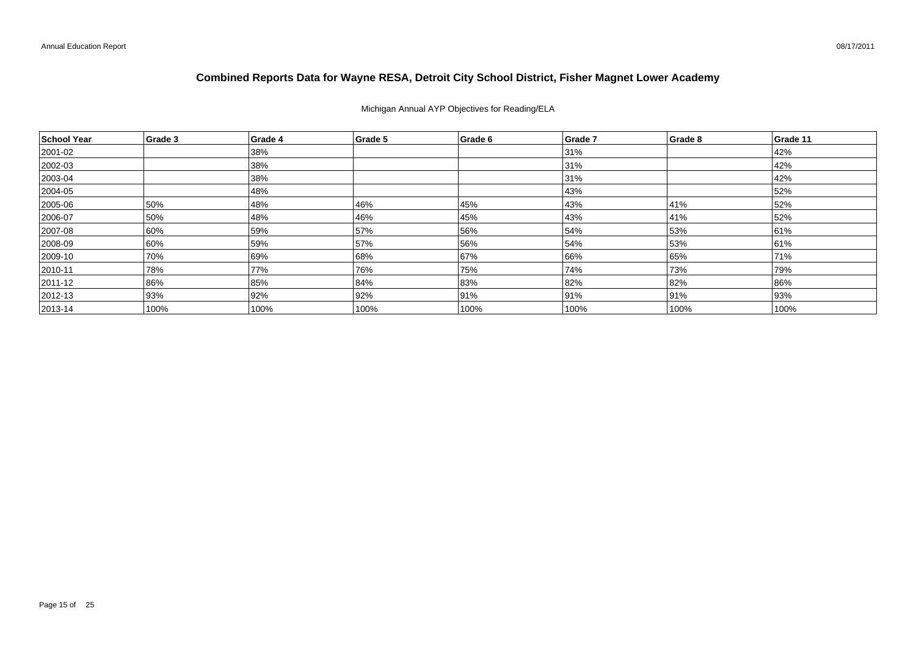Michigan Annual AYP Objectives for Reading/ELA

| School Year   | Grade 3 | Grade 4 | Grade 5 | Grade 6 | Grade 7 | Grade 8 | Grade 11 |
|---------------|---------|---------|---------|---------|---------|---------|----------|
| 2001-02       |         | 38%     |         |         | 31%     |         | 42%      |
| $ 2002-03 $   |         | 38%     |         |         | 31%     |         | 42%      |
| 2003-04       |         | 38%     |         |         | 31%     |         | 42%      |
| 2004-05       |         | 48%     |         |         | 43%     |         | 52%      |
| 2005-06       | 50%     | 48%     | 46%     | 45%     | 43%     | 41%     | 52%      |
| 2006-07       | 50%     | 48%     | 46%     | 45%     | 43%     | 41%     | 52%      |
| 2007-08       | 60%     | 59%     | 57%     | 56%     | 54%     | 53%     | 61%      |
| 2008-09       | 60%     | 59%     | 57%     | 56%     | 54%     | 53%     | 61%      |
| 2009-10       | 70%     | 69%     | 68%     | 67%     | 66%     | 65%     | 71%      |
| $ 2010 - 11$  | 78%     | 77%     | 76%     | 75%     | 74%     | 73%     | 79%      |
| $ 2011 - 12 $ | 86%     | 85%     | 84%     | 83%     | 82%     | 82%     | 86%      |
| $ 2012 - 13 $ | 93%     | 92%     | 92%     | 91%     | 91%     | 91%     | 93%      |
| $ 2013 - 14 $ | 100%    | 100%    | 100%    | 100%    | 100%    | 100%    | 100%     |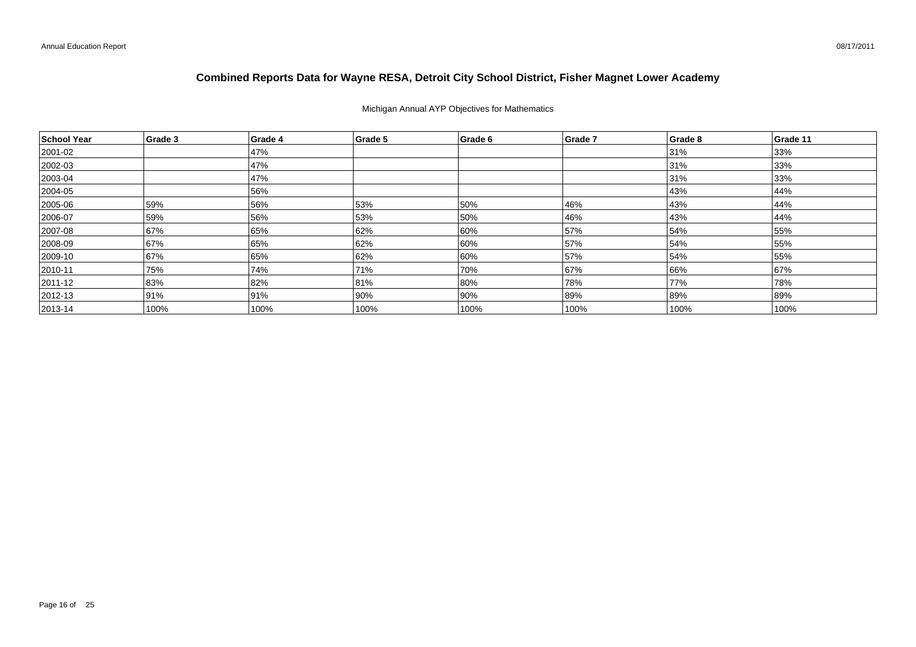### Michigan Annual AYP Objectives for Mathematics

| School Year  | Grade 3 | Grade 4 | Grade 5 | Grade 6 | Grade 7 | Grade 8 | Grade 11 |
|--------------|---------|---------|---------|---------|---------|---------|----------|
| 2001-02      |         | 47%     |         |         |         | 31%     | 33%      |
| 2002-03      |         | 47%     |         |         |         | 31%     | 33%      |
| $ 2003 - 04$ |         | 47%     |         |         |         | 31%     | 33%      |
| 2004-05      |         | 56%     |         |         |         | 43%     | 44%      |
| 2005-06      | 59%     | 56%     | 53%     | 50%     | 46%     | 43%     | 44%      |
| 2006-07      | 59%     | 56%     | 53%     | 50%     | 46%     | 43%     | 44%      |
| 2007-08      | 67%     | 65%     | 62%     | 60%     | 57%     | 54%     | 55%      |
| 2008-09      | 67%     | 65%     | 62%     | 60%     | 57%     | 54%     | 55%      |
| 2009-10      | 67%     | 65%     | 62%     | 60%     | 57%     | 54%     | 55%      |
| $ 2010 - 11$ | 75%     | 74%     | 71%     | 70%     | 67%     | 66%     | 67%      |
| 2011-12      | 83%     | 82%     | 81%     | 80%     | 78%     | 77%     | 78%      |
| $ 2012 - 13$ | 91%     | 91%     | 90%     | 90%     | 89%     | 89%     | 89%      |
| $ 2013 - 14$ | 100%    | 100%    | 100%    | 100%    | 100%    | 100%    | 100%     |

08/17/2011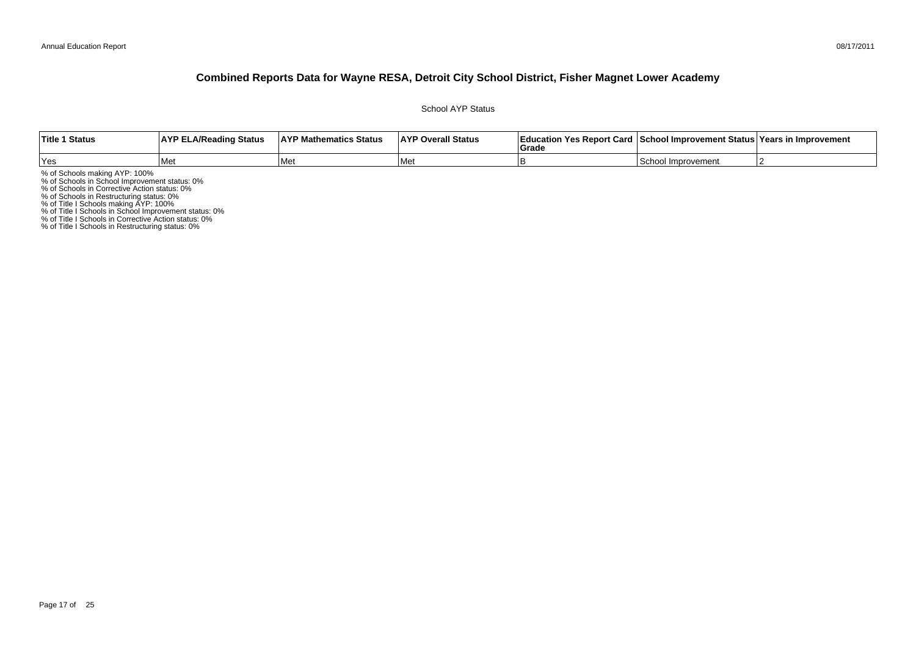School AYP Status

| <b>Title 1 Status</b> | <b>AYP ELA/Reading Status</b> | <b>AYP Mathematics Status</b> | <b>AYP Overall Status</b> | <b>∣Grade</b> | Education Yes Report Card   School Improvement Status   Years in Improvement |  |
|-----------------------|-------------------------------|-------------------------------|---------------------------|---------------|------------------------------------------------------------------------------|--|
| Yes                   | l Met                         | <b>Met</b>                    | l Met                     |               | <b>ISchool Improvement</b>                                                   |  |

% of Schools making AYP: 100%<br>% of Schools in School Improvement status: 0%<br>% of Schools in Corrective Action status: 0%<br>% of Schools in Restructuring status: 0%<br>% of Title I Schools in School Improvement status: 0%<br>% of T

% of Title I Schools in Restructuring status: 0%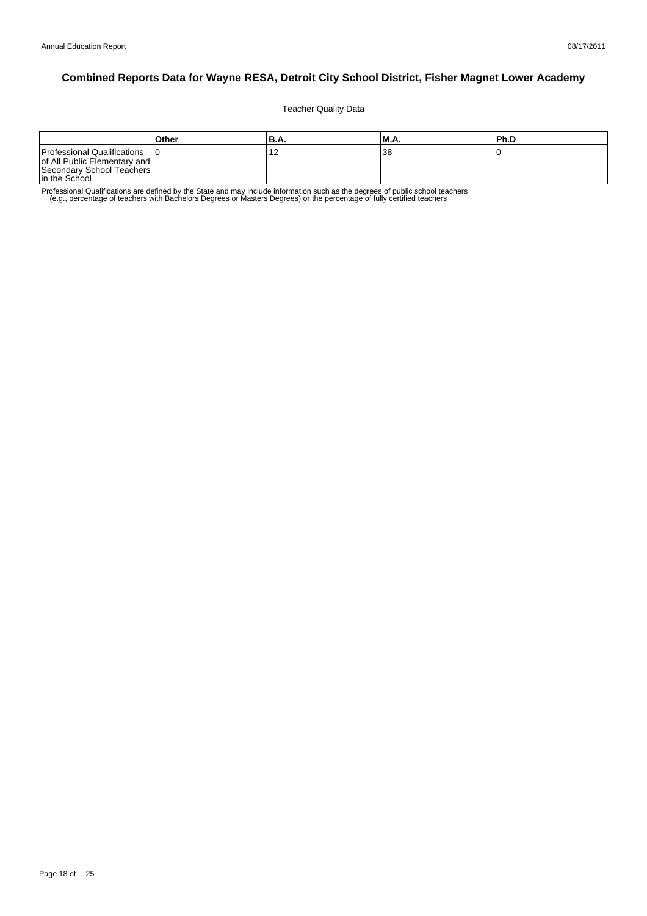Teacher Quality Data

|                                                                                                           | Other | 'B.A.                | M.A. | l Ph.D |
|-----------------------------------------------------------------------------------------------------------|-------|----------------------|------|--------|
| Professional Qualifications<br>of All Public Elementary and<br>Secondary School Teachers<br>In the School |       | $\overline{ }$<br>14 | 38   |        |

Professional Qualifications are defined by the State and may include information such as the degrees of public school teachers<br>e.g., percentage of teachers with Bachelors Degrees or Masters Degrees) or the percentage of fu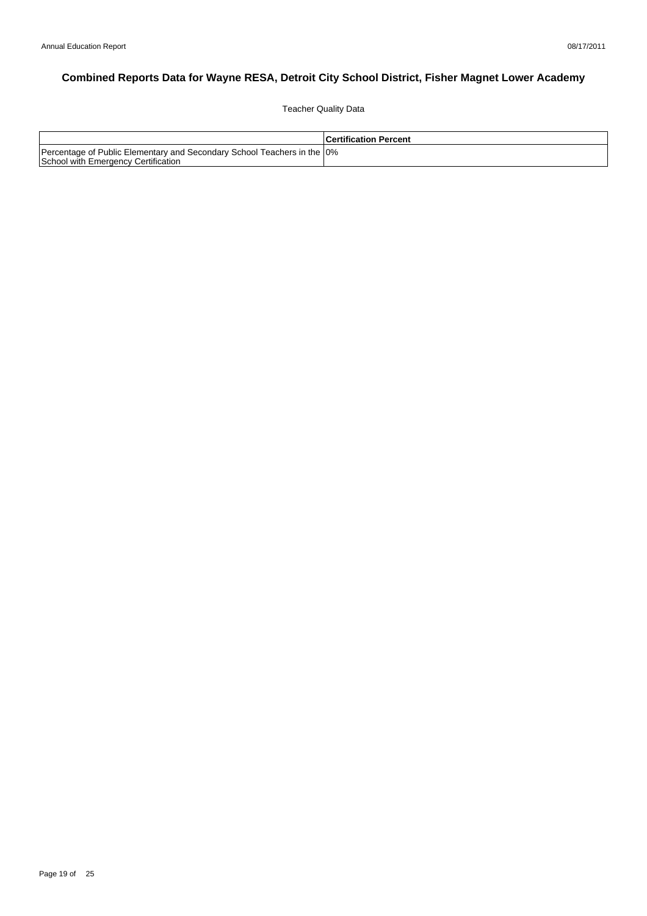Teacher Quality Data

|                                                                                                                 | <b>Certification Percent</b> |
|-----------------------------------------------------------------------------------------------------------------|------------------------------|
| Percentage of Public Elementary and Secondary School Teachers in the 10%<br>School with Emergency Certification |                              |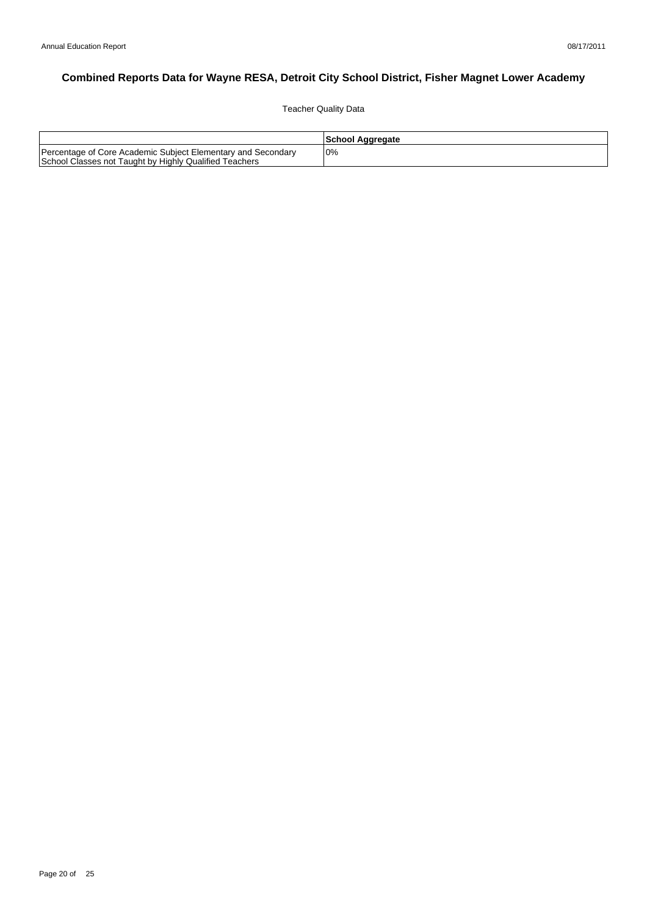Teacher Quality Data

|                                                                                                                        | School Aggregate |
|------------------------------------------------------------------------------------------------------------------------|------------------|
| Percentage of Core Academic Subject Elementary and Secondary<br>School Classes not Taught by Highly Qualified Teachers | 0%               |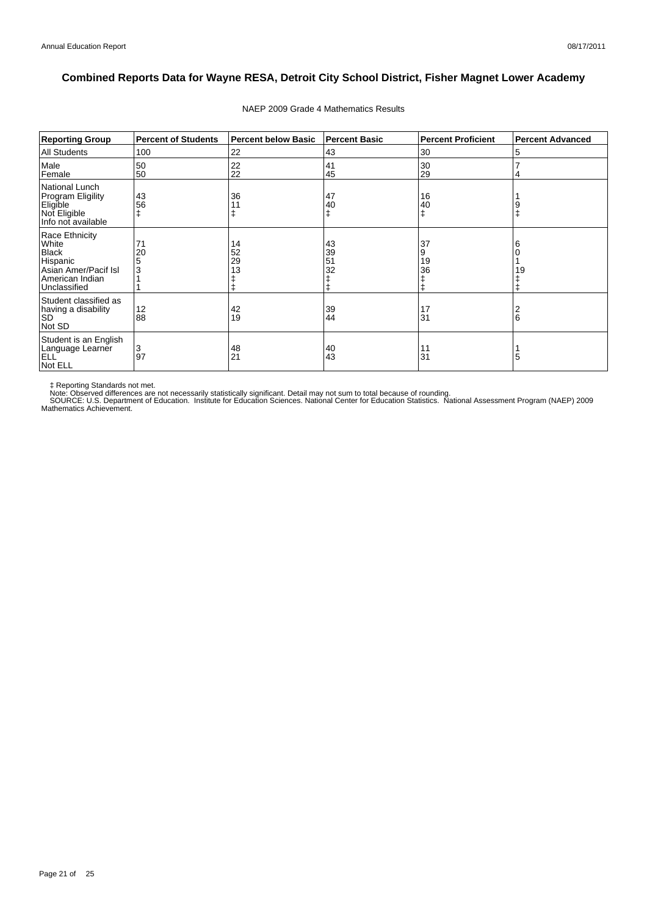| <b>Reporting Group</b>                                                                                         | <b>Percent of Students</b> | <b>Percent below Basic</b> | Percent Basic        | <b>Percent Proficient</b> | <b>Percent Advanced</b> |
|----------------------------------------------------------------------------------------------------------------|----------------------------|----------------------------|----------------------|---------------------------|-------------------------|
| <b>All Students</b>                                                                                            | 100                        | 22                         | 43                   | 30                        | 5                       |
| Male<br>Female                                                                                                 | 50<br>50                   | 22<br>22                   | 41<br>45             | 30<br>29                  | 4                       |
| National Lunch<br>Program Eligility<br>Eligible<br>Not Eligible<br>Info not available                          | 43<br>56                   | 36                         | 47<br>40             | 16<br>40                  | 9                       |
| Race Ethnicity<br>White<br><b>Black</b><br>Hispanic<br>Asian Amer/Pacif Isl<br>American Indian<br>Unclassified | 71<br>20<br>5<br>3         | 14<br>52<br>29<br>13       | 43<br>39<br>51<br>32 | 37<br>9<br>19<br>36<br>ŧ  | 6<br>19                 |
| Student classified as<br>having a disability<br><b>SD</b><br>Not SD                                            | 12<br>88                   | 42<br>19                   | 39<br>44             | 17<br>31                  | 2<br>6                  |
| Student is an English<br>Language Learner<br><b>ELL</b><br>Not ELL                                             | 3<br>97                    | 48<br>21                   | 40<br>43             | 11<br>31                  | 5                       |

### NAEP 2009 Grade 4 Mathematics Results

‡ Reporting Standards not met.<br>Note: Observed differences are not necessarily statistically significant. Detail may not sum to total because of rounding.<br>SOURCE: U.S. Department of Education. Institute for Education Scien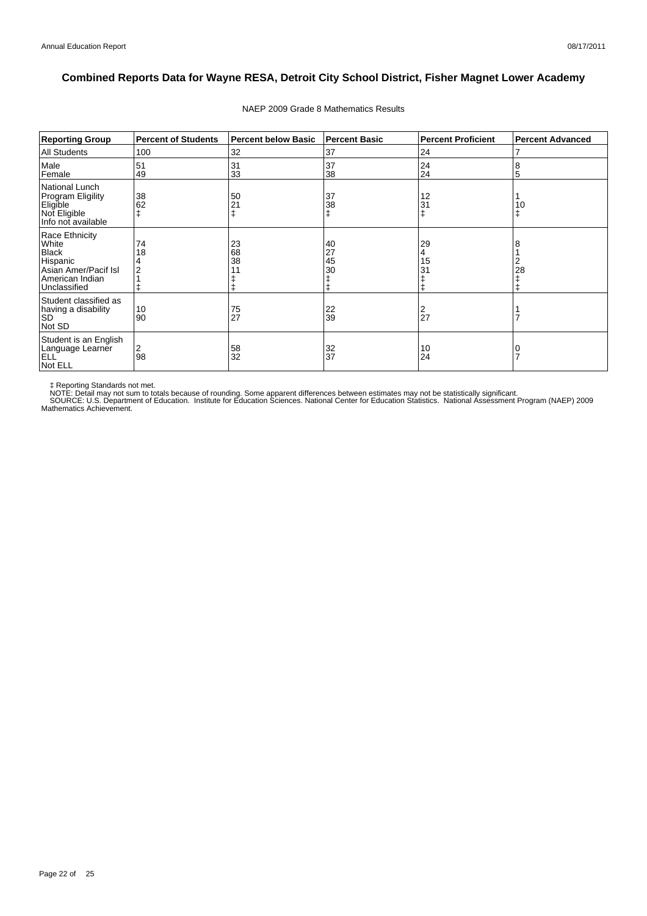| <b>Reporting Group</b>                                                                                         | <b>Percent of Students</b> | <b>Percent below Basic</b> | <b>Percent Basic</b> | <b>Percent Proficient</b> | <b>Percent Advanced</b> |
|----------------------------------------------------------------------------------------------------------------|----------------------------|----------------------------|----------------------|---------------------------|-------------------------|
| <b>All Students</b>                                                                                            | 100                        | 32                         | 37                   | 24                        |                         |
| Male<br>Female                                                                                                 | 51<br>49                   | 31<br>33                   | 37<br>38             | 24<br>24                  | 8<br>5                  |
| National Lunch<br><b>Program Eligility</b><br>Eligible<br>Not Eligible<br>Info not available                   | 38<br>62                   | 50<br>21                   | 37<br>38             | 12<br>31<br>$\ddagger$    | 10                      |
| Race Ethnicity<br>White<br><b>Black</b><br>Hispanic<br>Asian Amer/Pacif Isl<br>American Indian<br>Unclassified | 74<br>18                   | 23<br>68<br>38             | 40<br>27<br>45<br>30 | 29<br>4<br>15<br>31       | 28                      |
| Student classified as<br>having a disability<br> SD<br>Not SD                                                  | 10<br>90                   | $\frac{75}{27}$            | 22<br>39             | 2<br>27                   |                         |
| Student is an English<br>Language Learner<br><b>ELL</b><br>Not ELL                                             | 2<br>98                    | 58<br>32                   | 32<br>37             | 10<br>24                  |                         |

#### NAEP 2009 Grade 8 Mathematics Results

‡ Reporting Standards not met.<br>NOTE: Detail may not sum to totals because of rounding. Some apparent differences between estimates may not be statistically significant.<br>NOTE: Detail may not sum to totals because of roundin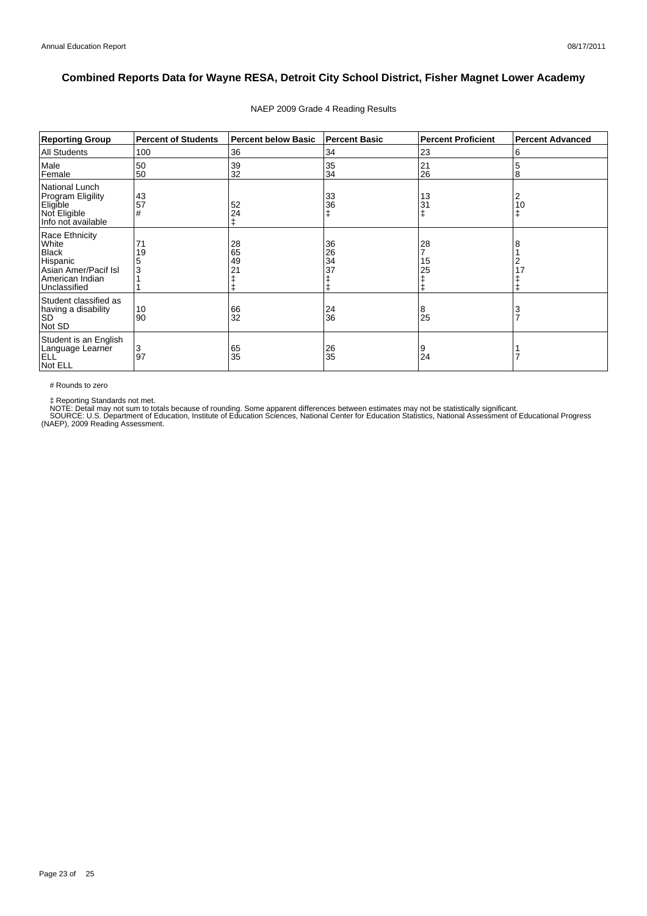| <b>Reporting Group</b>                                                                                         | <b>Percent of Students</b> | <b>Percent below Basic</b>       | <b>Percent Basic</b> | <b>Percent Proficient</b> | <b>Percent Advanced</b> |
|----------------------------------------------------------------------------------------------------------------|----------------------------|----------------------------------|----------------------|---------------------------|-------------------------|
| <b>All Students</b>                                                                                            | 100                        | 36                               | 34                   | 23                        | 6                       |
| Male<br>Female                                                                                                 | 50<br>50                   | 39<br>32                         | 35<br>34             | 21<br>26                  | 5<br>8                  |
| National Lunch<br><b>Program Eligility</b><br>Eligible<br>Not Eligible<br>Info not available                   | 43<br>57<br>#              | 52<br>24<br>ŧ                    | 33<br>36             | 13<br>31                  | 2<br>10<br>ŧ            |
| Race Ethnicity<br>White<br><b>Black</b><br>Hispanic<br>Asian Amer/Pacif Isl<br>American Indian<br>Unclassified | 71<br>19<br>3              | 28<br>65<br>49<br>2 <sub>1</sub> | 36<br>26<br>34<br>37 | 28<br>15<br>25            | 8<br>2<br>17            |
| Student classified as<br>having a disability<br><b>SD</b><br>Not SD                                            | 10<br>90                   | 66<br>32                         | 24<br>36             | 8<br>25                   | 3<br>$\overline{7}$     |
| Student is an English<br>Language Learner<br>ELL <sup>'</sup><br>Not ELL                                       | 3<br>97                    | 65<br>35                         | 26<br>35             | 9<br>24                   |                         |

### NAEP 2009 Grade 4 Reading Results

# Rounds to zero

‡ Reporting Standards not met.<br>NOTE: Detail may not sum to totals because of rounding. Some apparent differences between estimates may not be statistically significant.<br>SOURCE: U.S. Department of Education, Institute of Ed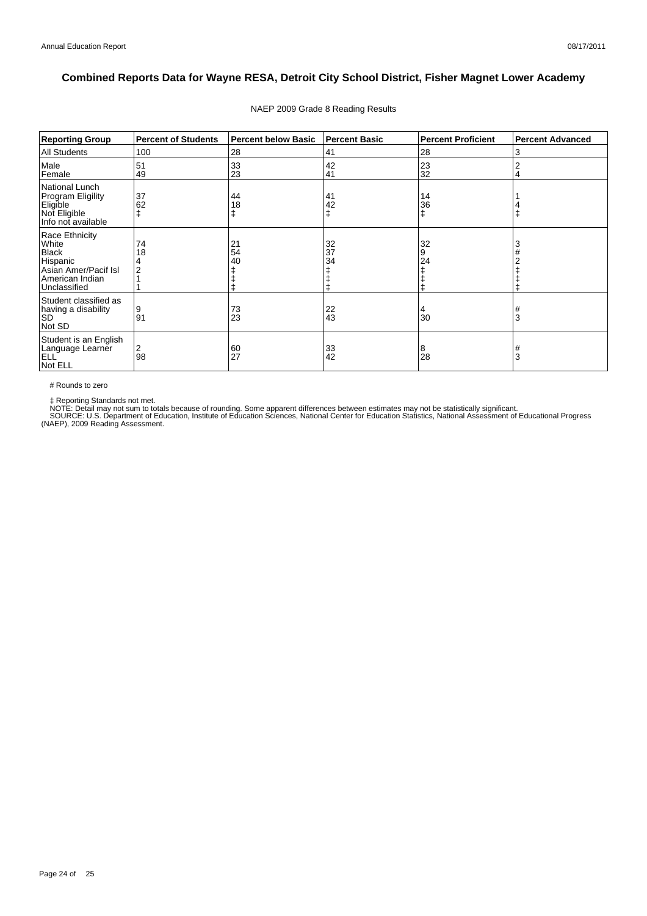| <b>Reporting Group</b>                                                                                         | <b>Percent of Students</b> | <b>Percent below Basic</b> | Percent Basic  | <b>Percent Proficient</b> | <b>Percent Advanced</b> |
|----------------------------------------------------------------------------------------------------------------|----------------------------|----------------------------|----------------|---------------------------|-------------------------|
| <b>All Students</b>                                                                                            | 100                        | 28                         | 41             | 28                        | 3                       |
| Male<br>Female                                                                                                 | 51<br>49                   | 33<br>23                   | 42<br>41       | 23<br>32                  | 4                       |
| <b>National Lunch</b><br>Program Eligility<br>Eligible<br>Not Eligible<br>Info not available                   | 37<br>62                   | 44<br>18                   | 41<br>42       | 14<br>36<br>ŧ             |                         |
| Race Ethnicity<br>White<br><b>Black</b><br>Hispanic<br>Asian Amer/Pacif Isl<br>American Indian<br>Unclassified | 74<br>18                   | 21<br>54<br>40             | 32<br>37<br>34 | 32<br>9<br>24             |                         |
| Student classified as<br>having a disability<br><b>SD</b><br>Not SD                                            | 9<br>91                    | 73<br>23                   | 22<br>43       | 4<br>30                   | #<br>3                  |
| Student is an English<br>Language Learner<br>ELL <sup>'</sup><br>Not ELL                                       | 2<br>98                    | 60<br>27                   | 33<br>42       | 8<br>28                   | #<br>3                  |

### NAEP 2009 Grade 8 Reading Results

# Rounds to zero

‡ Reporting Standards not met.<br>NOTE: Detail may not sum to totals because of rounding. Some apparent differences between estimates may not be statistically significant.<br>SOURCE: U.S. Department of Education, Institute of Ed